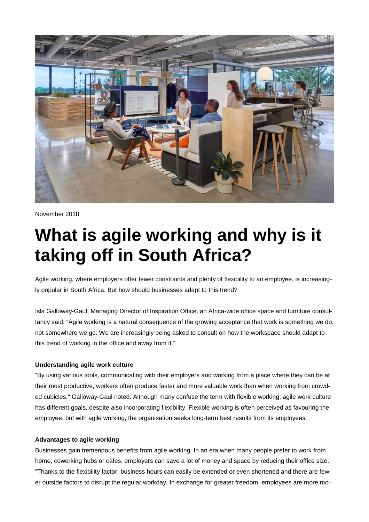

November 2018

# **What is agile working and why is it taking off in South Africa?**

Agile working, where employers offer fewer constraints and plenty of flexibility to an employee, is increasingly popular in South Africa. But how should businesses adapt to this trend?

Isla Galloway-Gaul, Managing Director of Inspiration Office, an Africa-wide office space and furniture consultancy said: "Agile working is a natural consequence of the growing acceptance that work is something we do, not somewhere we go. We are increasingly being asked to consult on how the workspace should adapt to this trend of working in the office and away from it."

### **Understanding agile work culture**

"By using various tools, communicating with their employers and working from a place where they can be at their most productive, workers often produce faster and more valuable work than when working from crowded cubicles," Galloway-Gaul noted. Although many confuse the term with flexible working, agile work culture has different goals, despite also incorporating flexibility. Flexible working is often perceived as favouring the employee, but with agile working, the organisation seeks long-term best results from its employees.

#### **Advantages to agile working**

Businesses gain tremendous benefits from agile working. In an era when many people prefer to work from home, coworking hubs or cafes, employers can save a lot of money and space by reducing their office size. "Thanks to the flexibility factor, business hours can easily be extended or even shortened and there are fewer outside factors to disrupt the regular workday. In exchange for greater freedom, employees are more mo